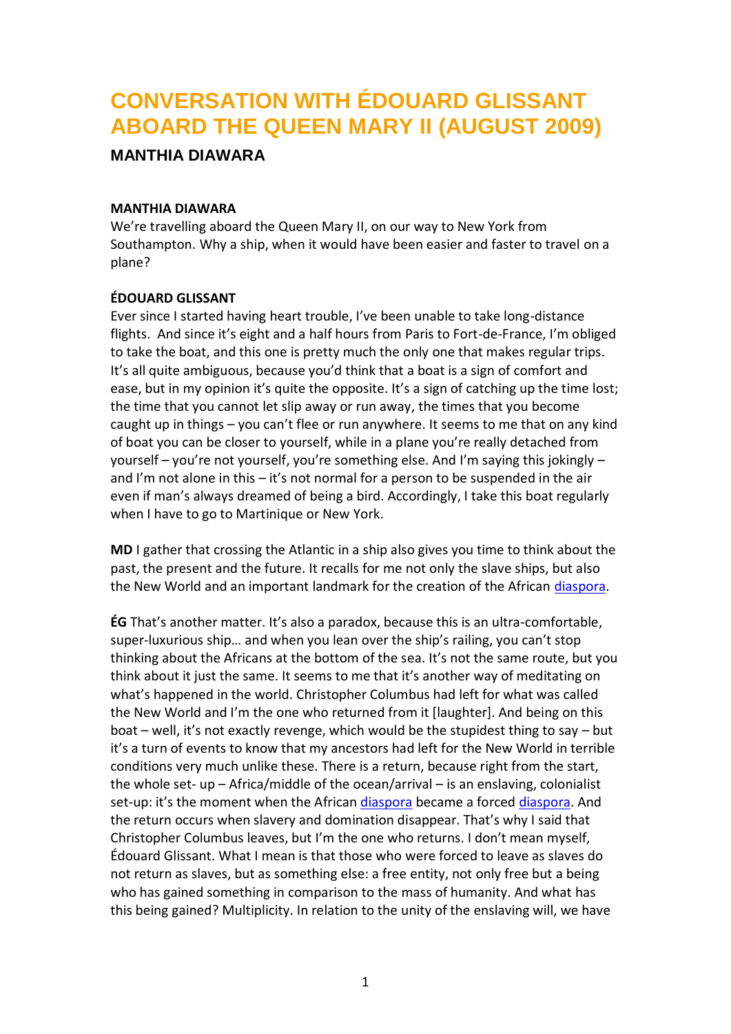# **CONVERSATION WITH ÉDOUARD GLISSANT ABOARD THE QUEEN MARY II (AUGUST 2009)**

## **MANTHIA DIAWARA**

#### **MANTHIA DIAWARA**

We're travelling aboard the Queen Mary II, on our way to New York from Southampton. Why a ship, when it would have been easier and faster to travel on a plane?

### **ÉDOUARD GLISSANT**

Ever since I started having heart trouble, I've been unable to take long-distance flights. And since it's eight and a half hours from Paris to Fort-de-France, I'm obliged to take the boat, and this one is pretty much the only one that makes regular trips. It's all quite ambiguous, because you'd think that a boat is a sign of comfort and ease, but in my opinion it's quite the opposite. It's a sign of catching up the time lost; the time that you cannot let slip away or run away, the times that you become caught up in things – you can't flee or run anywhere. It seems to me that on any kind of boat you can be closer to yourself, while in a plane you're really detached from yourself – you're not yourself, you're something else. And I'm saying this jokingly – and I'm not alone in this – it's not normal for a person to be suspended in the air even if man's always dreamed of being a bird. Accordingly, I take this boat regularly when I have to go to Martinique or New York.

**MD** I gather that crossing the Atlantic in a ship also gives you time to think about the past, the present and the future. It recalls for me not only the slave ships, but also the New World and an important landmark for the creation of the African [diaspora.](http://www.liv.ac.uk/csis/blackatlantic/Glossary.htm#diaspora)

**ÉG** That's another matter. It's also a paradox, because this is an ultra-comfortable, super-luxurious ship… and when you lean over the ship's railing, you can't stop thinking about the Africans at the bottom of the sea. It's not the same route, but you think about it just the same. It seems to me that it's another way of meditating on what's happened in the world. Christopher Columbus had left for what was called the New World and I'm the one who returned from it [laughter]. And being on this boat – well, it's not exactly revenge, which would be the stupidest thing to say – but it's a turn of events to know that my ancestors had left for the New World in terrible conditions very much unlike these. There is a return, because right from the start, the whole set- up – Africa/middle of the ocean/arrival – is an enslaving, colonialist set-up: it's the moment when the African [diaspora](http://www.liv.ac.uk/csis/blackatlantic/Glossary.htm#diaspora) became a forced [diaspora.](http://www.liv.ac.uk/csis/blackatlantic/Glossary.htm#diaspora) And the return occurs when slavery and domination disappear. That's why I said that Christopher Columbus leaves, but I'm the one who returns. I don't mean myself, Édouard Glissant. What I mean is that those who were forced to leave as slaves do not return as slaves, but as something else: a free entity, not only free but a being who has gained something in comparison to the mass of humanity. And what has this being gained? Multiplicity. In relation to the unity of the enslaving will, we have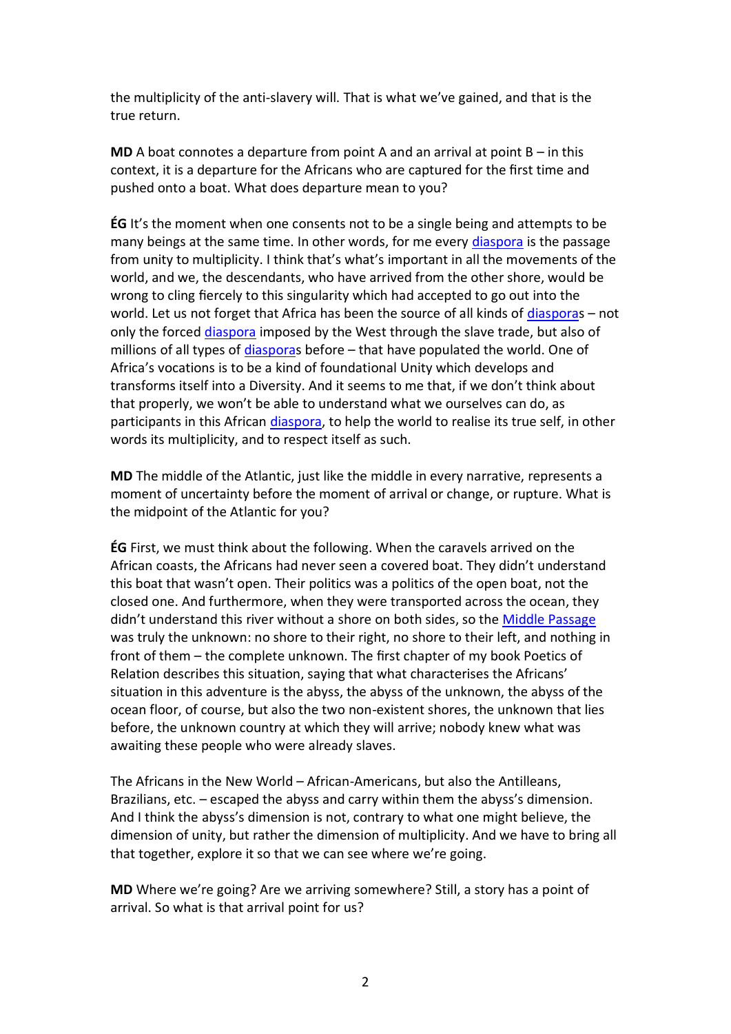the multiplicity of the anti-slavery will. That is what we've gained, and that is the true return.

**MD** A boat connotes a departure from point A and an arrival at point B – in this context, it is a departure for the Africans who are captured for the first time and pushed onto a boat. What does departure mean to you?

**ÉG** It's the moment when one consents not to be a single being and attempts to be many beings at the same time. In other words, for me every [diaspora](http://www.liv.ac.uk/csis/blackatlantic/Glossary.htm#diaspora) is the passage from unity to multiplicity. I think that's what's important in all the movements of the world, and we, the descendants, who have arrived from the other shore, would be wrong to cling fiercely to this singularity which had accepted to go out into the world. Let us not forget that Africa has been the source of all kinds of [diasporas](http://www.liv.ac.uk/csis/blackatlantic/Glossary.htm#diaspora) – not only the forced [diaspora](http://www.liv.ac.uk/csis/blackatlantic/Glossary.htm#diaspora) imposed by the West through the slave trade, but also of millions of all types of [diasporas](http://www.liv.ac.uk/csis/blackatlantic/Glossary.htm#diaspora) before – that have populated the world. One of Africa's vocations is to be a kind of foundational Unity which develops and transforms itself into a Diversity. And it seems to me that, if we don't think about that properly, we won't be able to understand what we ourselves can do, as participants in this African [diaspora,](http://www.liv.ac.uk/csis/blackatlantic/Glossary.htm#diaspora) to help the world to realise its true self, in other words its multiplicity, and to respect itself as such.

**MD** The middle of the Atlantic, just like the middle in every narrative, represents a moment of uncertainty before the moment of arrival or change, or rupture. What is the midpoint of the Atlantic for you?

**ÉG** First, we must think about the following. When the caravels arrived on the African coasts, the Africans had never seen a covered boat. They didn't understand this boat that wasn't open. Their politics was a politics of the open boat, not the closed one. And furthermore, when they were transported across the ocean, they didn't understand this river without a shore on both sides, so the [Middle Passage](http://www.liv.ac.uk/csis/blackatlantic/Glossary.htm#middlepassage) was truly the unknown: no shore to their right, no shore to their left, and nothing in front of them – the complete unknown. The first chapter of my book Poetics of Relation describes this situation, saying that what characterises the Africans' situation in this adventure is the abyss, the abyss of the unknown, the abyss of the ocean floor, of course, but also the two non-existent shores, the unknown that lies before, the unknown country at which they will arrive; nobody knew what was awaiting these people who were already slaves.

The Africans in the New World – African-Americans, but also the Antilleans, Brazilians, etc. – escaped the abyss and carry within them the abyss's dimension. And I think the abyss's dimension is not, contrary to what one might believe, the dimension of unity, but rather the dimension of multiplicity. And we have to bring all that together, explore it so that we can see where we're going.

**MD** Where we're going? Are we arriving somewhere? Still, a story has a point of arrival. So what is that arrival point for us?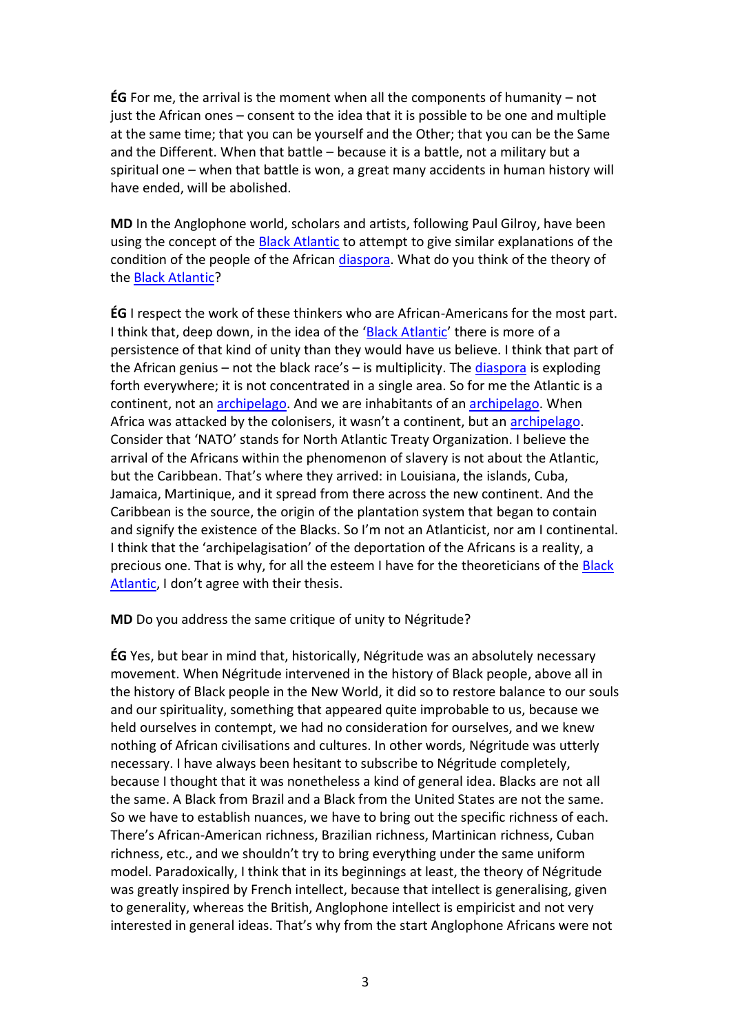**ÉG** For me, the arrival is the moment when all the components of humanity – not just the African ones – consent to the idea that it is possible to be one and multiple at the same time; that you can be yourself and the Other; that you can be the Same and the Different. When that battle – because it is a battle, not a military but a spiritual one – when that battle is won, a great many accidents in human history will have ended, will be abolished.

**MD** In the Anglophone world, scholars and artists, following Paul Gilroy, have been using the concept of the [Black Atlantic](http://www.liv.ac.uk/csis/blackatlantic/Glossary.htm#blackatlantic) to attempt to give similar explanations of the condition of the people of the African [diaspora.](http://www.liv.ac.uk/csis/blackatlantic/Glossary.htm#diaspora) What do you think of the theory of the [Black Atlantic?](http://www.liv.ac.uk/csis/blackatlantic/Glossary.htm#blackatlantic)

**ÉG** I respect the work of these thinkers who are African-Americans for the most part. I think that, deep down, in the idea of the '[Black Atlantic](http://www.liv.ac.uk/csis/blackatlantic/Glossary.htm#blackatlantic)' there is more of a persistence of that kind of unity than they would have us believe. I think that part of the African genius – not the black race's – is multiplicity. The [diaspora](http://www.liv.ac.uk/csis/blackatlantic/Glossary.htm#diaspora) is exploding forth everywhere; it is not concentrated in a single area. So for me the Atlantic is a continent, not an [archipelago.](http://www.liv.ac.uk/csis/blackatlantic/Glossary.htm#archipelago) And we are inhabitants of an [archipelago.](http://www.liv.ac.uk/csis/blackatlantic/Glossary.htm#archipelago) When Africa was attacked by the colonisers, it wasn't a continent, but an [archipelago.](http://www.liv.ac.uk/csis/blackatlantic/Glossary.htm#archipelago) Consider that 'NATO' stands for North Atlantic Treaty Organization. I believe the arrival of the Africans within the phenomenon of slavery is not about the Atlantic, but the Caribbean. That's where they arrived: in Louisiana, the islands, Cuba, Jamaica, Martinique, and it spread from there across the new continent. And the Caribbean is the source, the origin of the plantation system that began to contain and signify the existence of the Blacks. So I'm not an Atlanticist, nor am I continental. I think that the 'archipelagisation' of the deportation of the Africans is a reality, a precious one. That is why, for all the esteem I have for the theoreticians of the Black [Atlantic](http://www.liv.ac.uk/csis/blackatlantic/Glossary.htm#blackatlantic), I don't agree with their thesis.

**MD** Do you address the same critique of unity to Négritude?

**ÉG** Yes, but bear in mind that, historically, Négritude was an absolutely necessary movement. When Négritude intervened in the history of Black people, above all in the history of Black people in the New World, it did so to restore balance to our souls and our spirituality, something that appeared quite improbable to us, because we held ourselves in contempt, we had no consideration for ourselves, and we knew nothing of African civilisations and cultures. In other words, Négritude was utterly necessary. I have always been hesitant to subscribe to Négritude completely, because I thought that it was nonetheless a kind of general idea. Blacks are not all the same. A Black from Brazil and a Black from the United States are not the same. So we have to establish nuances, we have to bring out the specific richness of each. There's African-American richness, Brazilian richness, Martinican richness, Cuban richness, etc., and we shouldn't try to bring everything under the same uniform model. Paradoxically, I think that in its beginnings at least, the theory of Négritude was greatly inspired by French intellect, because that intellect is generalising, given to generality, whereas the British, Anglophone intellect is empiricist and not very interested in general ideas. That's why from the start Anglophone Africans were not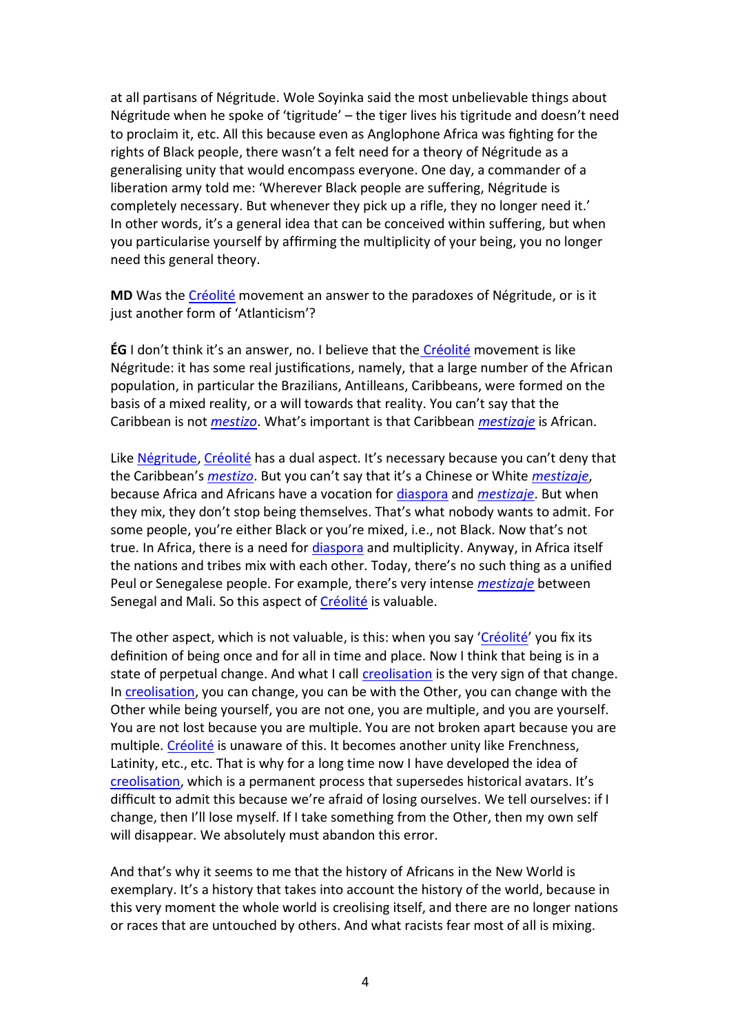at all partisans of Négritude. Wole Soyinka said the most unbelievable things about Négritude when he spoke of 'tigritude' – the tiger lives his tigritude and doesn't need to proclaim it, etc. All this because even as Anglophone Africa was fighting for the rights of Black people, there wasn't a felt need for a theory of Négritude as a generalising unity that would encompass everyone. One day, a commander of a liberation army told me: 'Wherever Black people are suffering, Négritude is completely necessary. But whenever they pick up a rifle, they no longer need it.' In other words, it's a general idea that can be conceived within suffering, but when you particularise yourself by affirming the multiplicity of your being, you no longer need this general theory.

**MD** Was the [Créolité](http://www.liv.ac.uk/csis/blackatlantic/Glossary.htm#creolite) movement an answer to the paradoxes of Négritude, or is it just another form of 'Atlanticism'?

**ÉG** I don't think it's an answer, no. I believe that the [Créolité](http://www.liv.ac.uk/csis/blackatlantic/Glossary.htm#creolite) movement is like Négritude: it has some real justifications, namely, that a large number of the African population, in particular the Brazilians, Antilleans, Caribbeans, were formed on the basis of a mixed reality, or a will towards that reality. You can't say that the Caribbean is not *[mestizo](http://www.liv.ac.uk/csis/blackatlantic/Glossary.htm#mestizaje)*. What's important is that Caribbean *[mestizaje](http://www.liv.ac.uk/csis/blackatlantic/Glossary.htm#mestizaje)* is African.

Like [Négritude,](http://www.liv.ac.uk/csis/blackatlantic/Glossary.htm#negritude) [Créolité](http://www.liv.ac.uk/csis/blackatlantic/Glossary.htm#creolite) has a dual aspect. It's necessary because you can't deny that the Caribbean's *[mestizo](http://www.liv.ac.uk/csis/blackatlantic/Glossary.htm#mestizaje)*. But you can't say that it's a Chinese or White *[mestizaje](http://www.liv.ac.uk/csis/blackatlantic/Glossary.htm#mestizaje)*, because Africa and Africans have a vocation for [diaspora](http://www.liv.ac.uk/csis/blackatlantic/Glossary.htm#diaspora) and *[mestizaje](http://www.liv.ac.uk/csis/blackatlantic/Glossary.htm#mestizaje)*. But when they mix, they don't stop being themselves. That's what nobody wants to admit. For some people, you're either Black or you're mixed, i.e., not Black. Now that's not true. In Africa, there is a need for [diaspora](http://www.liv.ac.uk/csis/blackatlantic/Glossary.htm#diaspora) and multiplicity. Anyway, in Africa itself the nations and tribes mix with each other. Today, there's no such thing as a unified Peul or Senegalese people. For example, there's very intense *[mestizaje](http://www.liv.ac.uk/csis/blackatlantic/Glossary.htm#mestizaje)* between Senegal and Mali. So this aspect of [Créolité](http://www.liv.ac.uk/csis/blackatlantic/Glossary.htm#creolite) is valuable.

The other aspect, which is not valuable, is this: when you say '[Créolité](http://www.liv.ac.uk/csis/blackatlantic/Glossary.htm#creolite)' you fix its definition of being once and for all in time and place. Now I think that being is in a state of perpetual change. And what I call [creolisation](http://www.liv.ac.uk/csis/blackatlantic/Glossary.htm#creolisation) is the very sign of that change. In [creolisation,](http://www.liv.ac.uk/csis/blackatlantic/Glossary.htm#creolisation) you can change, you can be with the Other, you can change with the Other while being yourself, you are not one, you are multiple, and you are yourself. You are not lost because you are multiple. You are not broken apart because you are multiple. [Créolité](http://www.liv.ac.uk/csis/blackatlantic/Glossary.htm#creolite) is unaware of this. It becomes another unity like Frenchness, Latinity, etc., etc. That is why for a long time now I have developed the idea of [creolisation](http://www.liv.ac.uk/csis/blackatlantic/Glossary.htm#creolisation), which is a permanent process that supersedes historical avatars. It's difficult to admit this because we're afraid of losing ourselves. We tell ourselves: if I change, then I'll lose myself. If I take something from the Other, then my own self will disappear. We absolutely must abandon this error.

And that's why it seems to me that the history of Africans in the New World is exemplary. It's a history that takes into account the history of the world, because in this very moment the whole world is creolising itself, and there are no longer nations or races that are untouched by others. And what racists fear most of all is mixing.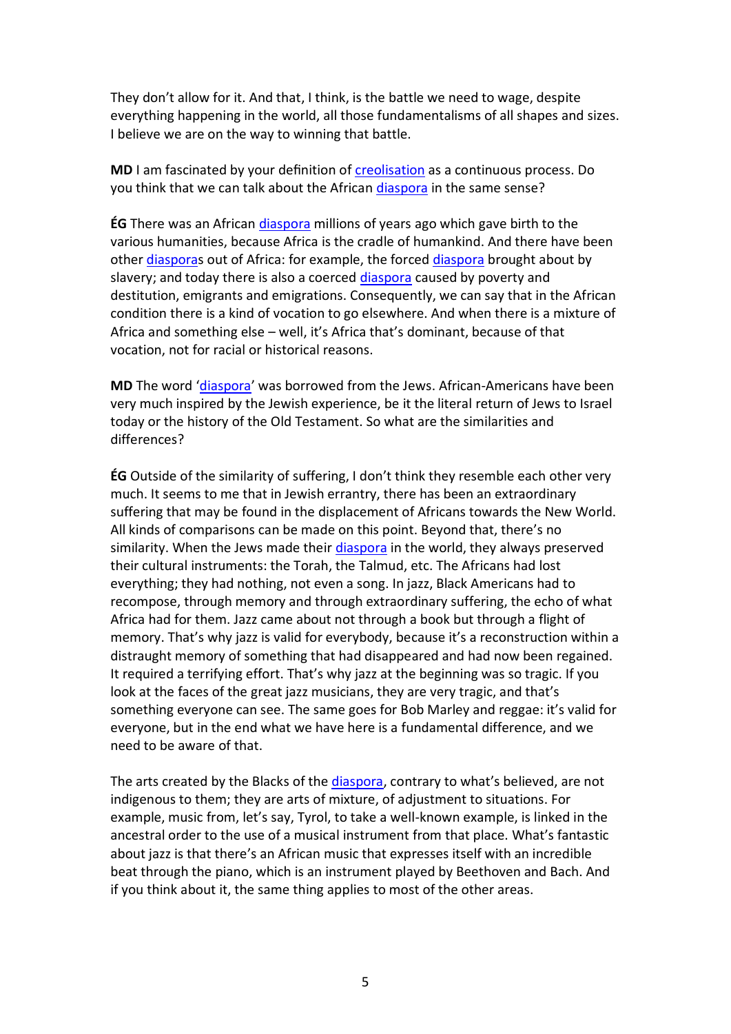They don't allow for it. And that, I think, is the battle we need to wage, despite everything happening in the world, all those fundamentalisms of all shapes and sizes. I believe we are on the way to winning that battle.

**MD** I am fascinated by your definition of [creolisation](http://www.liv.ac.uk/csis/blackatlantic/Glossary.htm#creolisation) as a continuous process. Do you think that we can talk about the African [diaspora](http://www.liv.ac.uk/csis/blackatlantic/Glossary.htm#diaspora) in the same sense?

**ÉG** There was an African [diaspora](http://www.liv.ac.uk/csis/blackatlantic/Glossary.htm#diaspora) millions of years ago which gave birth to the various humanities, because Africa is the cradle of humankind. And there have been other [diasporas](http://www.liv.ac.uk/csis/blackatlantic/Glossary.htm#diaspora) out of Africa: for example, the forced [diaspora](http://www.liv.ac.uk/csis/blackatlantic/Glossary.htm#diaspora) brought about by slavery; and today there is also a coerced [diaspora](http://www.liv.ac.uk/csis/blackatlantic/Glossary.htm#diaspora) caused by poverty and destitution, emigrants and emigrations. Consequently, we can say that in the African condition there is a kind of vocation to go elsewhere. And when there is a mixture of Africa and something else – well, it's Africa that's dominant, because of that vocation, not for racial or historical reasons.

MD The word '[diaspora](http://www.liv.ac.uk/csis/blackatlantic/Glossary.htm#diaspora)' was borrowed from the Jews. African-Americans have been very much inspired by the Jewish experience, be it the literal return of Jews to Israel today or the history of the Old Testament. So what are the similarities and differences?

**ÉG** Outside of the similarity of suffering, I don't think they resemble each other very much. It seems to me that in Jewish errantry, there has been an extraordinary suffering that may be found in the displacement of Africans towards the New World. All kinds of comparisons can be made on this point. Beyond that, there's no similarity. When the Jews made their [diaspora](http://www.liv.ac.uk/csis/blackatlantic/Glossary.htm#diaspora) in the world, they always preserved their cultural instruments: the Torah, the Talmud, etc. The Africans had lost everything; they had nothing, not even a song. In jazz, Black Americans had to recompose, through memory and through extraordinary suffering, the echo of what Africa had for them. Jazz came about not through a book but through a flight of memory. That's why jazz is valid for everybody, because it's a reconstruction within a distraught memory of something that had disappeared and had now been regained. It required a terrifying effort. That's why jazz at the beginning was so tragic. If you look at the faces of the great jazz musicians, they are very tragic, and that's something everyone can see. The same goes for Bob Marley and reggae: it's valid for everyone, but in the end what we have here is a fundamental difference, and we need to be aware of that.

The arts created by the Blacks of the [diaspora](http://www.liv.ac.uk/csis/blackatlantic/Glossary.htm#diaspora), contrary to what's believed, are not indigenous to them; they are arts of mixture, of adjustment to situations. For example, music from, let's say, Tyrol, to take a well-known example, is linked in the ancestral order to the use of a musical instrument from that place. What's fantastic about jazz is that there's an African music that expresses itself with an incredible beat through the piano, which is an instrument played by Beethoven and Bach. And if you think about it, the same thing applies to most of the other areas.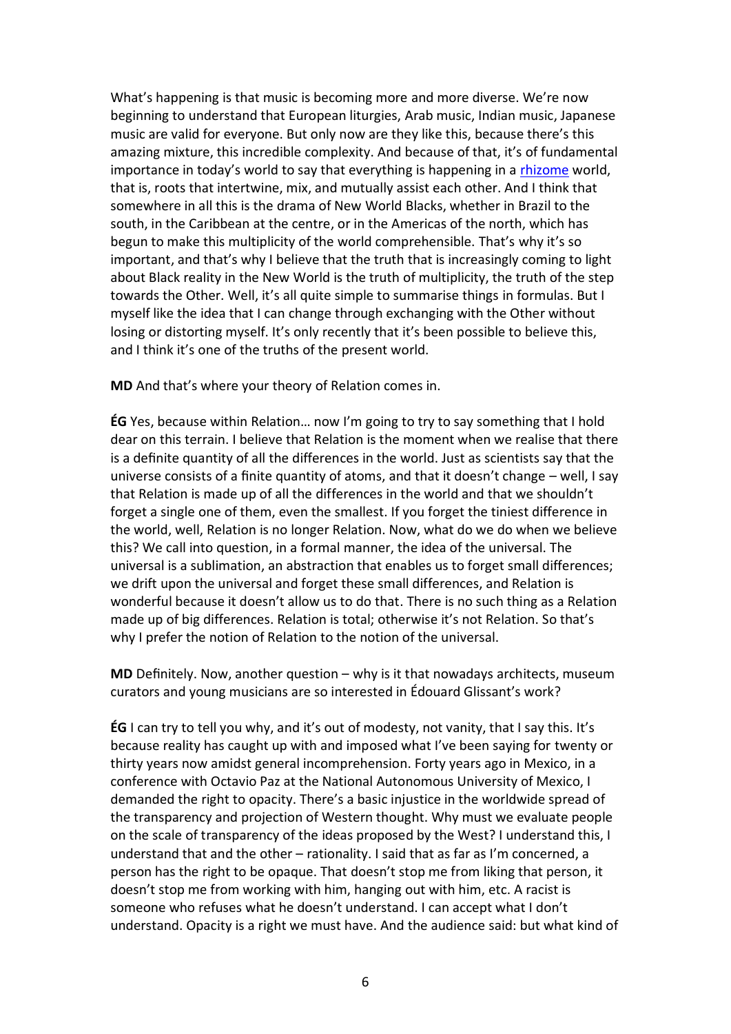What's happening is that music is becoming more and more diverse. We're now beginning to understand that European liturgies, Arab music, Indian music, Japanese music are valid for everyone. But only now are they like this, because there's this amazing mixture, this incredible complexity. And because of that, it's of fundamental importance in today's world to say that everything is happening in a [rhizome](http://www.liv.ac.uk/csis/blackatlantic/Glossary.htm#rhizome) world, that is, roots that intertwine, mix, and mutually assist each other. And I think that somewhere in all this is the drama of New World Blacks, whether in Brazil to the south, in the Caribbean at the centre, or in the Americas of the north, which has begun to make this multiplicity of the world comprehensible. That's why it's so important, and that's why I believe that the truth that is increasingly coming to light about Black reality in the New World is the truth of multiplicity, the truth of the step towards the Other. Well, it's all quite simple to summarise things in formulas. But I myself like the idea that I can change through exchanging with the Other without losing or distorting myself. It's only recently that it's been possible to believe this, and I think it's one of the truths of the present world.

**MD** And that's where your theory of Relation comes in.

**ÉG** Yes, because within Relation… now I'm going to try to say something that I hold dear on this terrain. I believe that Relation is the moment when we realise that there is a definite quantity of all the differences in the world. Just as scientists say that the universe consists of a finite quantity of atoms, and that it doesn't change – well, I say that Relation is made up of all the differences in the world and that we shouldn't forget a single one of them, even the smallest. If you forget the tiniest difference in the world, well, Relation is no longer Relation. Now, what do we do when we believe this? We call into question, in a formal manner, the idea of the universal. The universal is a sublimation, an abstraction that enables us to forget small differences; we drift upon the universal and forget these small differences, and Relation is wonderful because it doesn't allow us to do that. There is no such thing as a Relation made up of big differences. Relation is total; otherwise it's not Relation. So that's why I prefer the notion of Relation to the notion of the universal.

**MD** Definitely. Now, another question – why is it that nowadays architects, museum curators and young musicians are so interested in Édouard Glissant's work?

**ÉG** I can try to tell you why, and it's out of modesty, not vanity, that I say this. It's because reality has caught up with and imposed what I've been saying for twenty or thirty years now amidst general incomprehension. Forty years ago in Mexico, in a conference with Octavio Paz at the National Autonomous University of Mexico, I demanded the right to opacity. There's a basic injustice in the worldwide spread of the transparency and projection of Western thought. Why must we evaluate people on the scale of transparency of the ideas proposed by the West? I understand this, I understand that and the other – rationality. I said that as far as I'm concerned, a person has the right to be opaque. That doesn't stop me from liking that person, it doesn't stop me from working with him, hanging out with him, etc. A racist is someone who refuses what he doesn't understand. I can accept what I don't understand. Opacity is a right we must have. And the audience said: but what kind of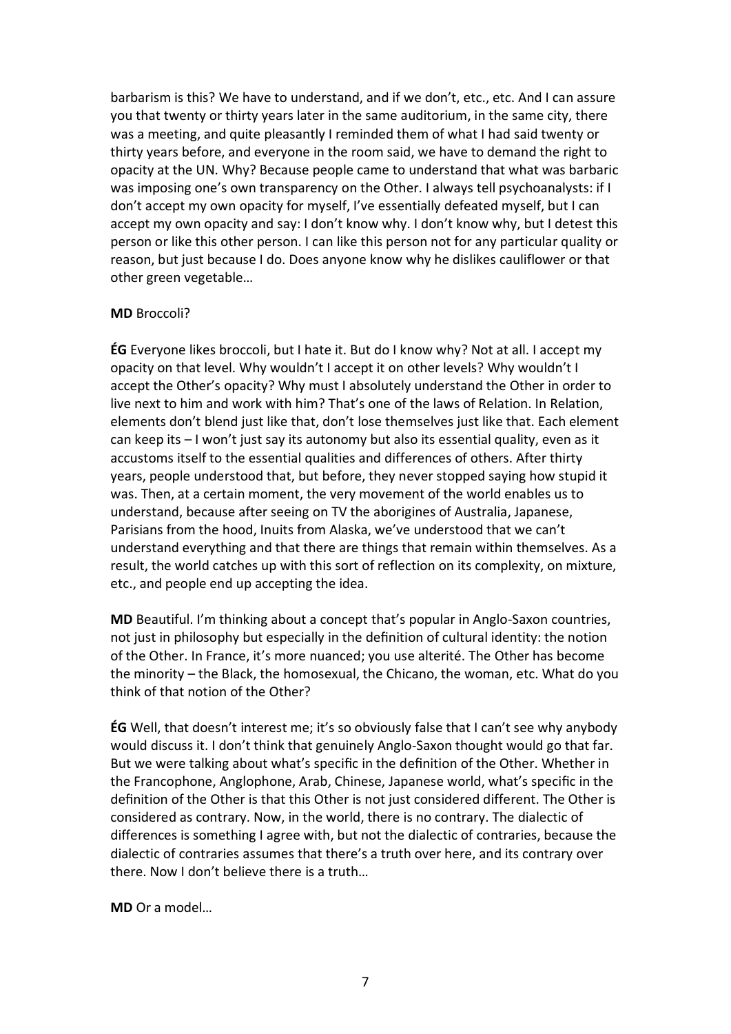barbarism is this? We have to understand, and if we don't, etc., etc. And I can assure you that twenty or thirty years later in the same auditorium, in the same city, there was a meeting, and quite pleasantly I reminded them of what I had said twenty or thirty years before, and everyone in the room said, we have to demand the right to opacity at the UN. Why? Because people came to understand that what was barbaric was imposing one's own transparency on the Other. I always tell psychoanalysts: if I don't accept my own opacity for myself, I've essentially defeated myself, but I can accept my own opacity and say: I don't know why. I don't know why, but I detest this person or like this other person. I can like this person not for any particular quality or reason, but just because I do. Does anyone know why he dislikes cauliflower or that other green vegetable…

#### **MD** Broccoli?

**ÉG** Everyone likes broccoli, but I hate it. But do I know why? Not at all. I accept my opacity on that level. Why wouldn't I accept it on other levels? Why wouldn't I accept the Other's opacity? Why must I absolutely understand the Other in order to live next to him and work with him? That's one of the laws of Relation. In Relation, elements don't blend just like that, don't lose themselves just like that. Each element can keep its – I won't just say its autonomy but also its essential quality, even as it accustoms itself to the essential qualities and differences of others. After thirty years, people understood that, but before, they never stopped saying how stupid it was. Then, at a certain moment, the very movement of the world enables us to understand, because after seeing on TV the aborigines of Australia, Japanese, Parisians from the hood, Inuits from Alaska, we've understood that we can't understand everything and that there are things that remain within themselves. As a result, the world catches up with this sort of reflection on its complexity, on mixture, etc., and people end up accepting the idea.

**MD** Beautiful. I'm thinking about a concept that's popular in Anglo-Saxon countries, not just in philosophy but especially in the definition of cultural identity: the notion of the Other. In France, it's more nuanced; you use alterité. The Other has become the minority – the Black, the homosexual, the Chicano, the woman, etc. What do you think of that notion of the Other?

**ÉG** Well, that doesn't interest me; it's so obviously false that I can't see why anybody would discuss it. I don't think that genuinely Anglo-Saxon thought would go that far. But we were talking about what's specific in the definition of the Other. Whether in the Francophone, Anglophone, Arab, Chinese, Japanese world, what's specific in the definition of the Other is that this Other is not just considered different. The Other is considered as contrary. Now, in the world, there is no contrary. The dialectic of differences is something I agree with, but not the dialectic of contraries, because the dialectic of contraries assumes that there's a truth over here, and its contrary over there. Now I don't believe there is a truth…

**MD** Or a model…